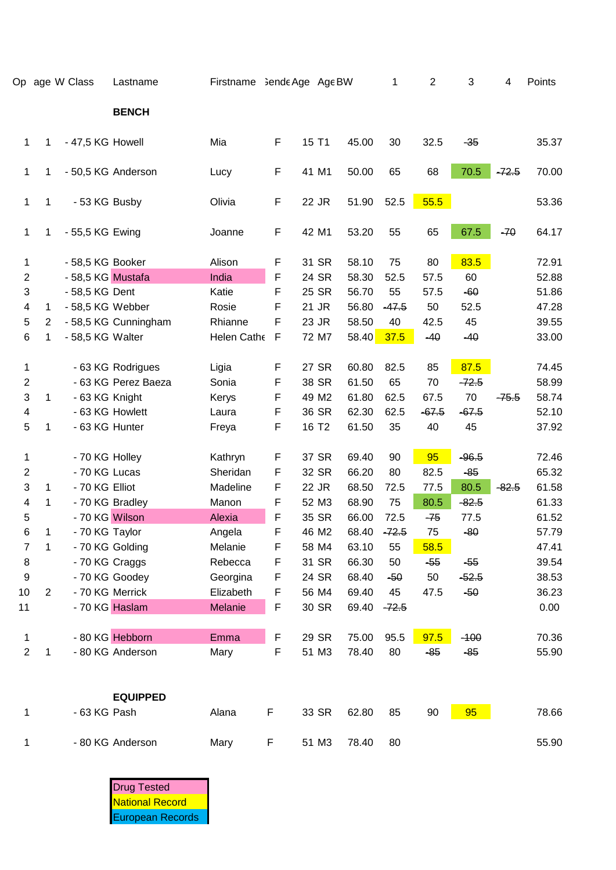|                          |                | Op age W Class    | Lastname             | Firstname Sende Age Age BW |   |                   |       | 1       | $\mathbf{2}$ | 3       | 4       | Points |
|--------------------------|----------------|-------------------|----------------------|----------------------------|---|-------------------|-------|---------|--------------|---------|---------|--------|
|                          |                |                   | <b>BENCH</b>         |                            |   |                   |       |         |              |         |         |        |
| $\mathbf{1}$             | 1              | - 47,5 KG Howell  |                      | Mia                        | F | 15 T1             | 45.00 | 30      | 32.5         | $-35$   |         | 35.37  |
| $\mathbf{1}$             | 1              |                   | - 50,5 KG Anderson   | Lucy                       | F | 41 M1             | 50.00 | 65      | 68           | 70.5    | $-72.5$ | 70.00  |
| 1                        | 1              | - 53 KG Busby     |                      | Olivia                     | F | 22 JR             | 51.90 | 52.5    | 55.5         |         |         | 53.36  |
| 1                        | 1              | - 55,5 KG Ewing   |                      | Joanne                     | F | 42 M1             | 53.20 | 55      | 65           | 67.5    | $-70$   | 64.17  |
| 1                        |                | - 58,5 KG Booker  |                      | Alison                     | F | 31 SR             | 58.10 | 75      | 80           | 83.5    |         | 72.91  |
| $\mathbf{2}$             |                | - 58,5 KG Mustafa |                      | India                      | F | 24 SR             | 58.30 | 52.5    | 57.5         | 60      |         | 52.88  |
| 3                        |                | - 58,5 KG Dent    |                      | Katie                      | F | 25 SR             | 56.70 | 55      | 57.5         | $-60$   |         | 51.86  |
| 4                        | $\mathbf 1$    | - 58,5 KG Webber  |                      | Rosie                      | F | 21 JR             | 56.80 | $-47.5$ | 50           | 52.5    |         | 47.28  |
| 5                        | $\overline{2}$ |                   | - 58,5 KG Cunningham | Rhianne                    | F | 23 JR             | 58.50 | 40      | 42.5         | 45      |         | 39.55  |
| 6                        | 1              | - 58,5 KG Walter  |                      | Helen Cathe                | F | 72 M7             | 58.40 | 37.5    | $-40$        | $-40$   |         | 33.00  |
| 1                        |                |                   | - 63 KG Rodrigues    | Ligia                      | F | 27 SR             | 60.80 | 82.5    | 85           | 87.5    |         | 74.45  |
| $\boldsymbol{2}$         |                |                   | - 63 KG Perez Baeza  | Sonia                      | F | 38 SR             | 61.50 | 65      | 70           | $-72.5$ |         | 58.99  |
| 3                        | 1              | - 63 KG Knight    |                      | Kerys                      | F | 49 M2             | 61.80 | 62.5    | 67.5         | 70      | $-75.5$ | 58.74  |
| $\overline{\mathcal{A}}$ |                |                   | - 63 KG Howlett      | Laura                      | F | 36 SR             | 62.30 | 62.5    | $-67.5$      | $-67.5$ |         | 52.10  |
| 5                        | 1              | - 63 KG Hunter    |                      | Freya                      | F | 16 T <sub>2</sub> | 61.50 | 35      | 40           | 45      |         | 37.92  |
| 1                        |                | - 70 KG Holley    |                      | Kathryn                    | F | 37 SR             | 69.40 | 90      | 95           | $-96.5$ |         | 72.46  |
| $\boldsymbol{2}$         |                | - 70 KG Lucas     |                      | Sheridan                   | F | 32 SR             | 66.20 | 80      | 82.5         | $-85$   |         | 65.32  |
| 3                        | 1              | - 70 KG Elliot    |                      | Madeline                   | F | 22 JR             | 68.50 | 72.5    | 77.5         | 80.5    | $-82.5$ | 61.58  |
| 4                        | 1              |                   | - 70 KG Bradley      | Manon                      | F | 52 M3             | 68.90 | 75      | 80.5         | $-82.5$ |         | 61.33  |
| 5                        |                | - 70 KG Wilson    |                      | Alexia                     | F | 35 SR             | 66.00 | 72.5    | $-75$        | 77.5    |         | 61.52  |
| 6                        | 1              | - 70 KG Taylor    |                      | Angela                     |   | 46 M2             | 68.40 | $-72.5$ | 75           | $-80$   |         | 57.79  |
| $\overline{7}$           | 1              |                   | - 70 KG Golding      | Melanie                    | F | 58 M4             | 63.10 | 55      | 58.5         |         |         | 47.41  |
| $\, 8$                   |                | - 70 KG Craggs    |                      | Rebecca                    | F | 31 SR             | 66.30 | 50      | $-55$        | $-55$   |         | 39.54  |
| 9                        |                |                   | - 70 KG Goodey       | Georgina                   | F | 24 SR             | 68.40 | $-50$   | 50           | $-52.5$ |         | 38.53  |
| 10                       | 2              |                   | - 70 KG Merrick      | Elizabeth                  | F | 56 M4             | 69.40 | 45      | 47.5         | $-50$   |         | 36.23  |
| 11                       |                |                   | - 70 KG Haslam       | Melanie                    | F | 30 SR             | 69.40 | $-72.5$ |              |         |         | 0.00   |
| 1                        |                |                   | - 80 KG Hebborn      | Emma                       | F | 29 SR             | 75.00 | 95.5    | 97.5         | $-100$  |         | 70.36  |
| $\overline{c}$           | 1              |                   | - 80 KG Anderson     | Mary                       | F | 51 M3             | 78.40 | 80      | $-85$        | $-85$   |         | 55.90  |
|                          |                |                   | <b>EQUIPPED</b>      |                            |   |                   |       |         |              |         |         |        |
| 1                        |                | - 63 KG Pash      |                      | Alana                      | F | 33 SR             | 62.80 | 85      | 90           | 95      |         | 78.66  |
| 1                        |                |                   | - 80 KG Anderson     | Mary                       | F | 51 M3             | 78.40 | 80      |              |         |         | 55.90  |

Drug Tested National Record European Records